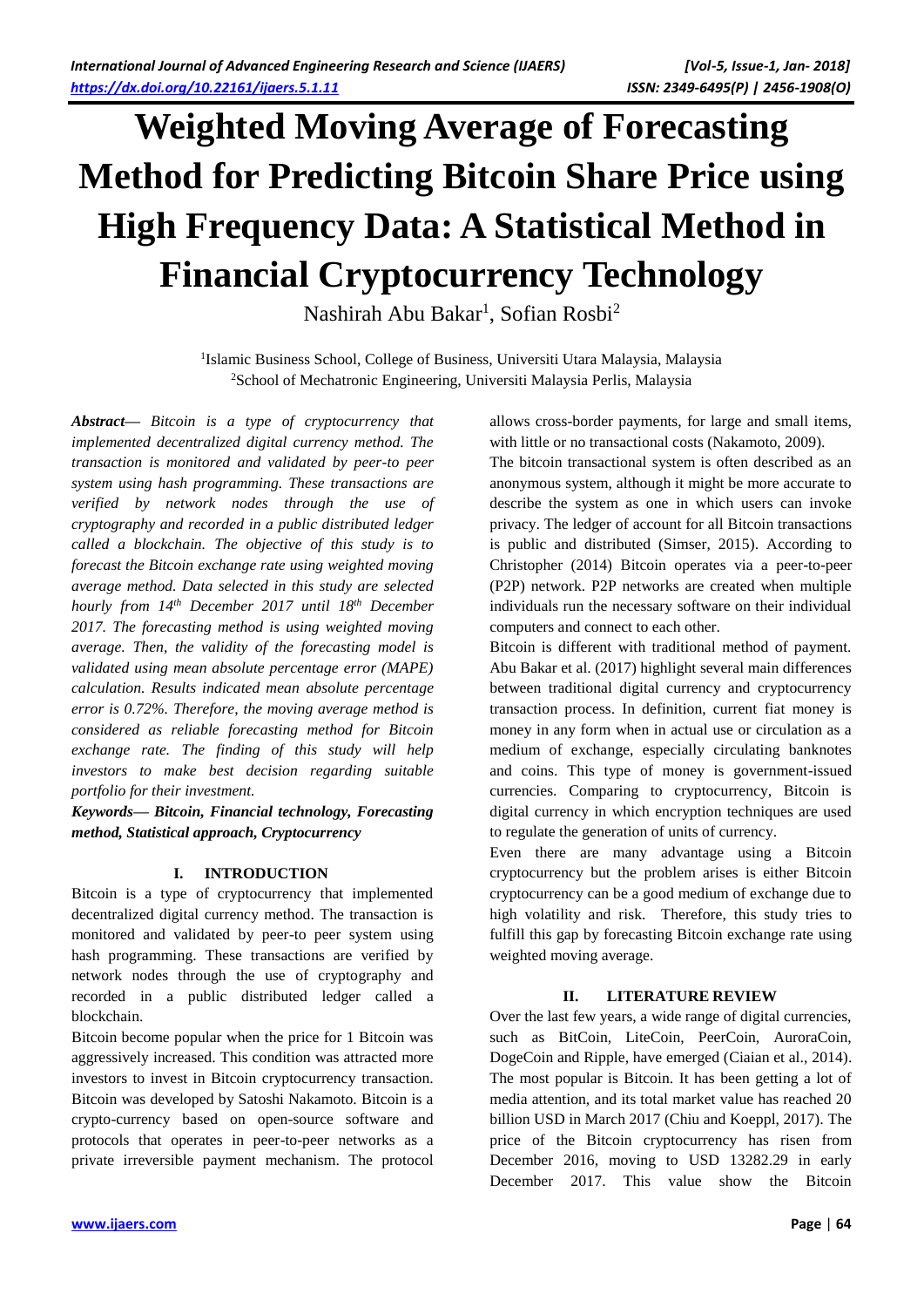# **Weighted Moving Average of Forecasting Method for Predicting Bitcoin Share Price using High Frequency Data: A Statistical Method in Financial Cryptocurrency Technology**

Nashirah Abu Bakar<sup>1</sup>, Sofian Rosbi<sup>2</sup>

<sup>1</sup>Islamic Business School, College of Business, Universiti Utara Malaysia, Malaysia <sup>2</sup>School of Mechatronic Engineering, Universiti Malaysia Perlis, Malaysia

*Abstract***—** *Bitcoin is a type of cryptocurrency that implemented decentralized digital currency method. The transaction is monitored and validated by peer-to peer system using hash programming. These transactions are verified by network nodes through the use of cryptography and recorded in a public distributed ledger called a blockchain. The objective of this study is to forecast the Bitcoin exchange rate using weighted moving average method. Data selected in this study are selected hourly from 14th December 2017 until 18th December 2017. The forecasting method is using weighted moving average. Then, the validity of the forecasting model is validated using mean absolute percentage error (MAPE) calculation. Results indicated mean absolute percentage error is 0.72%. Therefore, the moving average method is considered as reliable forecasting method for Bitcoin exchange rate. The finding of this study will help investors to make best decision regarding suitable portfolio for their investment.*

*Keywords***—** *Bitcoin, Financial technology, Forecasting method, Statistical approach, Cryptocurrency*

# **I. INTRODUCTION**

Bitcoin is a type of cryptocurrency that implemented decentralized digital currency method. The transaction is monitored and validated by peer-to peer system using hash programming. These transactions are verified by network nodes through the use of cryptography and recorded in a public distributed ledger called a blockchain.

Bitcoin become popular when the price for 1 Bitcoin was aggressively increased. This condition was attracted more investors to invest in Bitcoin cryptocurrency transaction. Bitcoin was developed by Satoshi Nakamoto. Bitcoin is a crypto-currency based on open-source software and protocols that operates in peer-to-peer networks as a private irreversible payment mechanism. The protocol allows cross-border payments, for large and small items, with little or no transactional costs (Nakamoto, 2009).

The bitcoin transactional system is often described as an anonymous system, although it might be more accurate to describe the system as one in which users can invoke privacy. The ledger of account for all Bitcoin transactions is public and distributed (Simser, 2015). According to Christopher (2014) Bitcoin operates via a peer-to-peer (P2P) network. P2P networks are created when multiple individuals run the necessary software on their individual computers and connect to each other.

Bitcoin is different with traditional method of payment. Abu Bakar et al. (2017) highlight several main differences between traditional digital currency and cryptocurrency transaction process. In definition, current fiat money is money in any form when in actual use or circulation as a medium of exchange, especially circulating banknotes and coins. This type of money is government-issued currencies. Comparing to cryptocurrency, Bitcoin is digital currency in which encryption techniques are used to regulate the generation of units of currency.

Even there are many advantage using a Bitcoin cryptocurrency but the problem arises is either Bitcoin cryptocurrency can be a good medium of exchange due to high volatility and risk. Therefore, this study tries to fulfill this gap by forecasting Bitcoin exchange rate using weighted moving average.

# **II. LITERATURE REVIEW**

Over the last few years, a wide range of digital currencies, such as BitCoin, LiteCoin, PeerCoin, AuroraCoin, DogeCoin and Ripple, have emerged (Ciaian et al., 2014). The most popular is Bitcoin. It has been getting a lot of media attention, and its total market value has reached 20 billion USD in March 2017 (Chiu and Koeppl, 2017). The price of the Bitcoin cryptocurrency has risen from December 2016, moving to USD 13282.29 in early December 2017. This value show the Bitcoin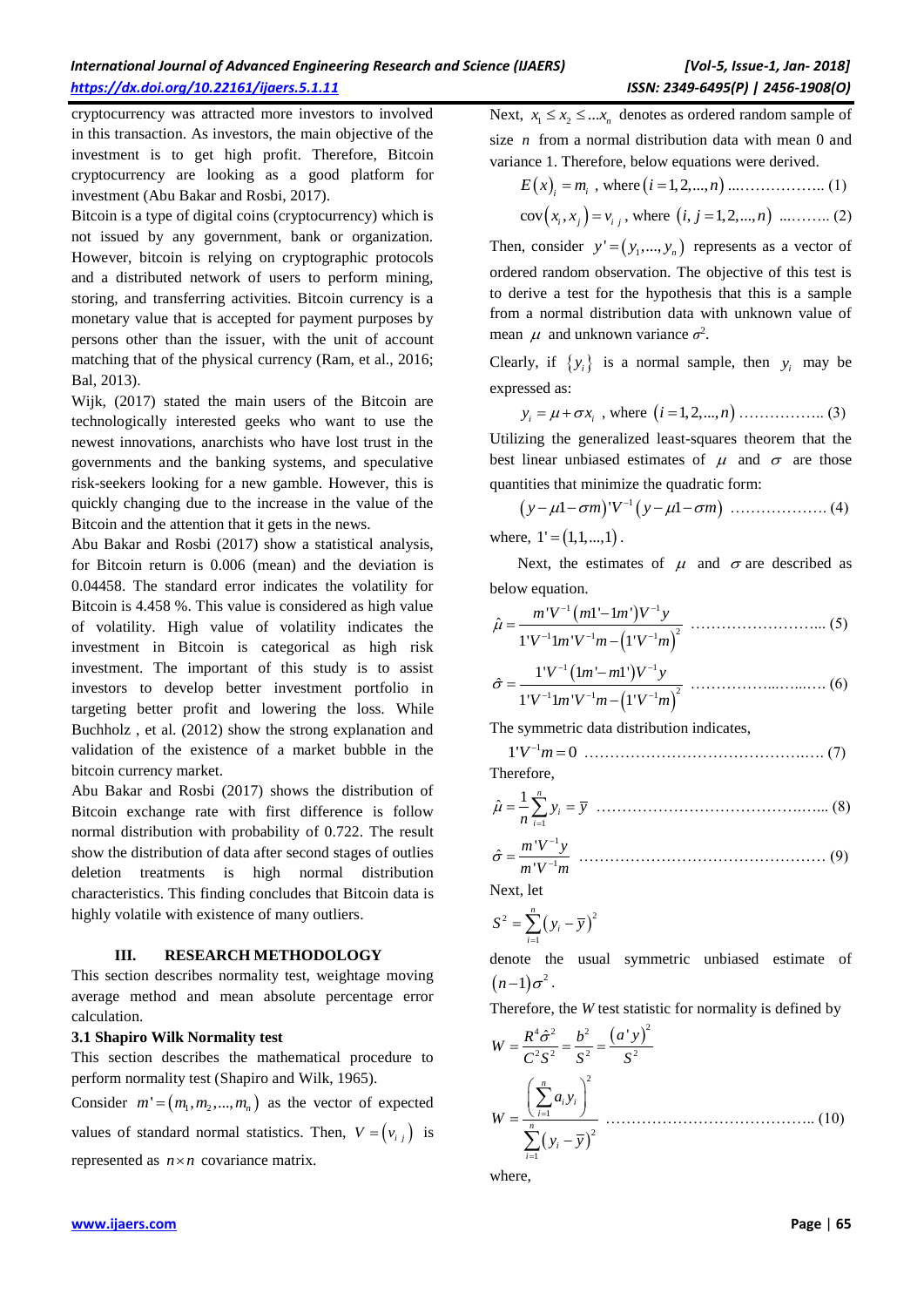cryptocurrency was attracted more investors to involved in this transaction. As investors, the main objective of the investment is to get high profit. Therefore, Bitcoin cryptocurrency are looking as a good platform for investment (Abu Bakar and Rosbi, 2017).

Bitcoin is a type of digital coins (cryptocurrency) which is not issued by any government, bank or organization. However, bitcoin is relying on cryptographic protocols and a distributed network of users to perform mining, storing, and transferring activities. Bitcoin currency is a monetary value that is accepted for payment purposes by persons other than the issuer, with the unit of account matching that of the physical currency (Ram, et al., 2016; Bal, 2013).

Wijk, (2017) stated the main users of the Bitcoin are technologically interested geeks who want to use the newest innovations, anarchists who have lost trust in the governments and the banking systems, and speculative risk-seekers looking for a new gamble. However, this is quickly changing due to the increase in the value of the Bitcoin and the attention that it gets in the news.

Abu Bakar and Rosbi (2017) show a statistical analysis, for Bitcoin return is 0.006 (mean) and the deviation is 0.04458. The standard error indicates the volatility for Bitcoin is 4.458 %. This value is considered as high value of volatility. High value of volatility indicates the investment in Bitcoin is categorical as high risk investment. The important of this study is to assist investors to develop better investment portfolio in targeting better profit and lowering the loss. While Buchholz , et al. (2012) show the strong explanation and validation of the existence of a market bubble in the bitcoin currency market.

Abu Bakar and Rosbi (2017) shows the distribution of Bitcoin exchange rate with first difference is follow normal distribution with probability of 0.722. The result show the distribution of data after second stages of outlies deletion treatments is high normal distribution characteristics. This finding concludes that Bitcoin data is highly volatile with existence of many outliers.

#### **III. RESEARCH METHODOLOGY**

This section describes normality test, weightage moving average method and mean absolute percentage error calculation.

#### **3.1 Shapiro Wilk Normality test**

This section describes the mathematical procedure to perform normality test (Shapiro and Wilk, 1965).

Consider  $m' = (m_1, m_2, ..., m_n)$  as the vector of expected values of standard normal statistics. Then,  $V = (v_{i,j})$  is

represented as  $n \times n$  covariance matrix.

Next,  $x_1 \le x_2 \le \dots x_n$  denotes as ordered random sample of size *n* from a normal distribution data with mean 0 and variance 1. Therefore, below equations were derived.

$$
E(x)
$$
<sub>i</sub> =  $m_i$ , where  $(i = 1, 2, ..., n)$  ....... (1)

$$
cov(x_i, x_j) = v_{i,j}, where (i, j = 1, 2, ..., n) ......... (2)
$$

Then, consider  $y' = (y_1, ..., y_n)$  represents as a vector of ordered random observation. The objective of this test is to derive a test for the hypothesis that this is a sample from a normal distribution data with unknown value of mean  $\mu$  and unknown variance  $\sigma^2$ .

Clearly, if  $\{y_i\}$  is a normal sample, then  $y_i$  may be expressed as:

$$
y_i = \mu + \sigma x_i
$$
, where  $(i = 1, 2, ..., n)$  (3)

Utilizing the generalized least-squares theorem that the best linear unbiased estimates of  $\mu$  and  $\sigma$  are those quantities that minimize the quadratic form:

$$
(y - \mu 1 - \sigma m)^{v-1} (y - \mu 1 - \sigma m) \dots (4)
$$

where,  $1' = (1,1,...,1)$ .

Next, the estimates of  $\mu$  and  $\sigma$  are described as below equation.

$$
\hat{\mu} = \frac{m'V^{-1}(m1'-1m')V^{-1}y}{1'V^{-1}lm'V^{-1}m - (1'V^{-1}m)^2}
$$
 (5)

$$
\hat{\sigma} = \frac{1'V^{-1}(1m'-m!)V^{-1}y}{1'V^{-1}1m'V^{-1}m - (1'V^{-1}m)^2}
$$
................. (6)

The symmetric data distribution indicates,

1 1' 0 *V m* …………………………………….…. (7)

Therefore,

1 1 ˆ *n i i y y n* ………………………………….…... (8)

1 1 'ˆ '*m V y m V m* ………………………………………… (9)

Next, let

$$
S^2 = \sum_{i=1}^n (y_i - \overline{y})^2
$$

denote the usual symmetric unbiased estimate of  $(n-1)\sigma^2$ .

Therefore, the *W* test statistic for normality is defined by

$$
W = \frac{R^4 \hat{\sigma}^2}{C^2 S^2} = \frac{b^2}{S^2} = \frac{(a^{\dagger} y)^2}{S^2}
$$
  

$$
W = \frac{\left(\sum_{i=1}^n a_i y_i\right)^2}{\sum_{i=1}^n (y_i - \overline{y})^2} \dots \dots \dots \dots \dots \dots \dots \dots \dots \dots \tag{10}
$$

where,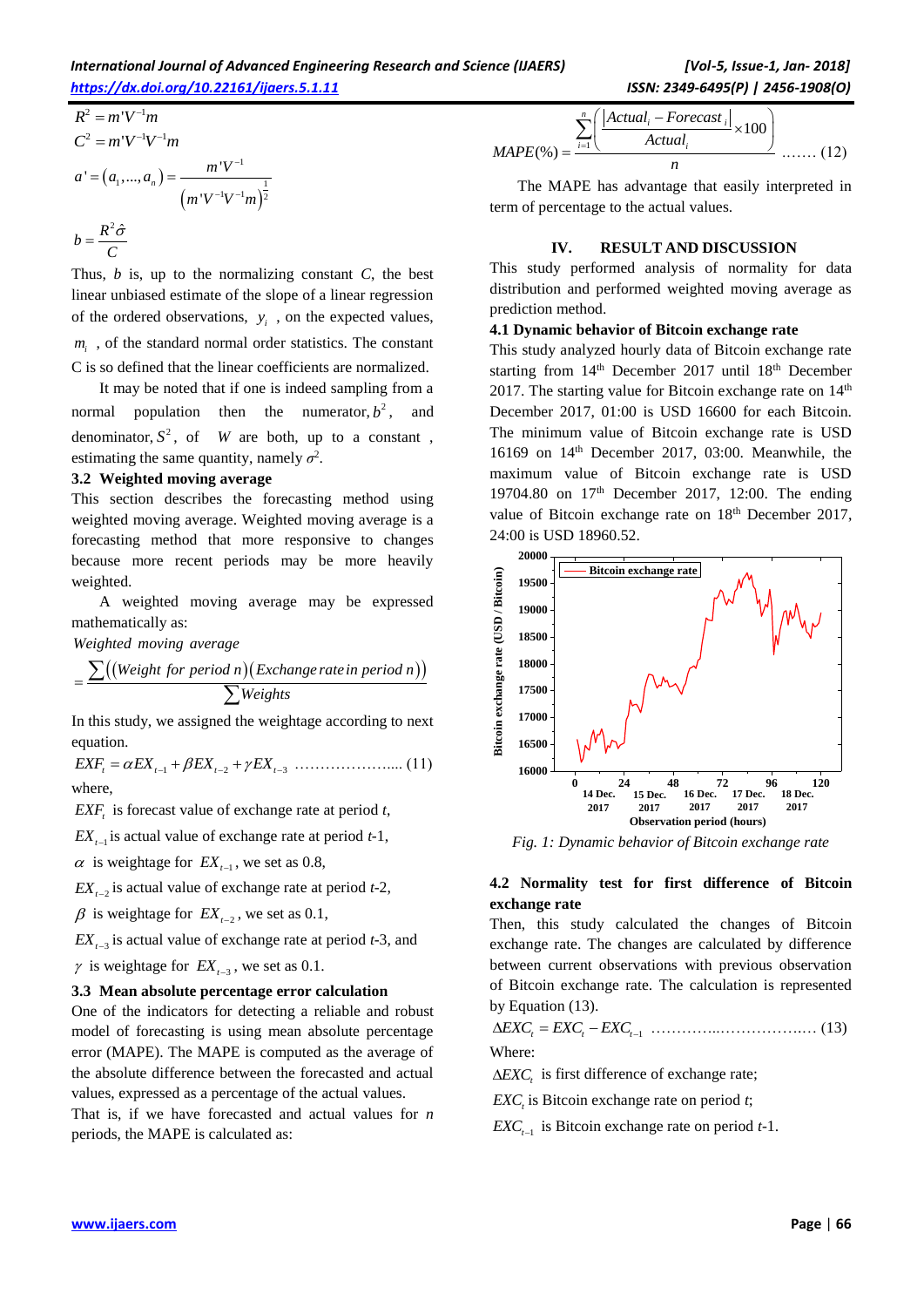### *International Journal of Advanced Engineering Research and Science (IJAERS) [Vol-5, Issue-1, Jan- 2018] <https://dx.doi.org/10.22161/ijaers.5.1.11>ISSN: 2349-6495(P) | 2456-1908(O)*

$$
R^{2} = m'V^{-1}m
$$
  
\n
$$
C^{2} = m'V^{-1}V^{-1}m
$$
  
\n
$$
a' = (a_{1},...,a_{n}) = \frac{m'V^{-1}}{(m'V^{-1}V^{-1}m)^{\frac{1}{2}}}
$$
  
\n
$$
b = \frac{R^{2} \hat{\sigma}}{C}
$$

Thus, *b* is, up to the normalizing constant *C*, the best linear unbiased estimate of the slope of a linear regression of the ordered observations,  $y_i$ , on the expected values,  $m<sub>i</sub>$ , of the standard normal order statistics. The constant C is so defined that the linear coefficients are normalized.

It may be noted that if one is indeed sampling from a normal population then the numerator,  $b^2$ , and denominator,  $S^2$ , of *W* are both, up to a constant, estimating the same quantity, namely  $\sigma^2$ .

#### **3.2 Weighted moving average**

This section describes the forecasting method using weighted moving average. Weighted moving average is a forecasting method that more responsive to changes because more recent periods may be more heavily weighted.

A weighted moving average may be expressed mathematically as: *Weighted moving average*

 $=$ 

weighted moving average

\n
$$
\frac{\sum((Weight for period n)(Exchange rate in period n))}{\sum Weights}
$$

In this study, we assigned the weightage according to next equation.

*EXF EX EX EX t t t t* 1 2 3 ……………….... (11) where,

*EXF<sup>t</sup>* is forecast value of exchange rate at period *t*,

 $EX_{t-1}$  is actual value of exchange rate at period  $t-1$ ,

 $\alpha$  is weightage for  $EX_{t-1}$ , we set as 0.8,

 $EX_{t-2}$  is actual value of exchange rate at period  $t-2$ ,

 $\beta$  is weightage for  $EX_{t-2}$ , we set as 0.1,

 $EX_{t-3}$  is actual value of exchange rate at period  $t-3$ , and

 $\gamma$  is weightage for  $EX_{t-3}$ , we set as 0.1.

#### **3.3 Mean absolute percentage error calculation**

One of the indicators for detecting a reliable and robust model of forecasting is using mean absolute percentage error (MAPE). The MAPE is computed as the average of the absolute difference between the forecasted and actual values, expressed as a percentage of the actual values. That is, if we have forecasted and actual values for *n* periods, the MAPE is calculated as:

$$
MAPE(\%) = \frac{\sum_{i=1}^{n} \left( \frac{|Actual_i - Forecast_i|}{Actual_i} \times 100 \right)}{n} \dots \dots (12)
$$

The MAPE has advantage that easily interpreted in term of percentage to the actual values.

### **IV. RESULT AND DISCUSSION**

This study performed analysis of normality for data distribution and performed weighted moving average as prediction method.

#### **4.1 Dynamic behavior of Bitcoin exchange rate**

This study analyzed hourly data of Bitcoin exchange rate starting from 14<sup>th</sup> December 2017 until 18<sup>th</sup> December 2017. The starting value for Bitcoin exchange rate on  $14<sup>th</sup>$ December 2017, 01:00 is USD 16600 for each Bitcoin. The minimum value of Bitcoin exchange rate is USD 16169 on 14th December 2017, 03:00. Meanwhile, the maximum value of Bitcoin exchange rate is USD 19704.80 on  $17<sup>th</sup>$  December 2017, 12:00. The ending value of Bitcoin exchange rate on 18<sup>th</sup> December 2017, 24:00 is USD 18960.52.



*Fig. 1: Dynamic behavior of Bitcoin exchange rate*

# **4.2 Normality test for first difference of Bitcoin exchange rate**

Then, this study calculated the changes of Bitcoin exchange rate. The changes are calculated by difference between current observations with previous observation of Bitcoin exchange rate. The calculation is represented by Equation (13).

$$
\Delta EXC_t = EXC_t - EXC_{t-1} \quad \dots \quad \dots \quad \dots \quad \dots \quad \dots \quad (13)
$$

Where:

 $\triangle EXC$ <sub>*t*</sub> is first difference of exchange rate;

*EXC<sup>t</sup>* is Bitcoin exchange rate on period *t*;

 $EXC_{t-1}$  is Bitcoin exchange rate on period  $t-1$ .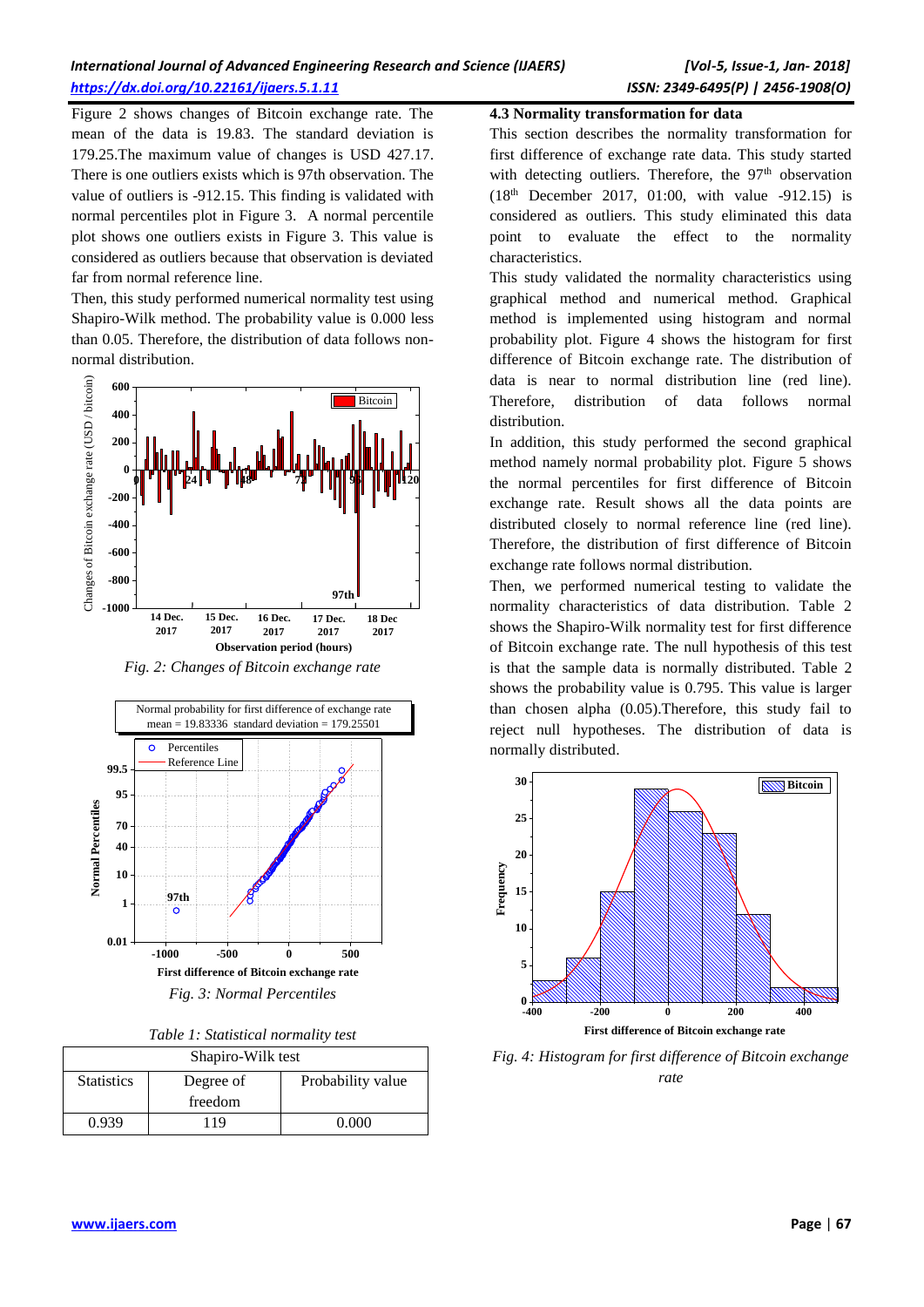# *International Journal of Advanced Engineering Research and Science (IJAERS) [Vol-5, Issue-1, Jan- 2018] <https://dx.doi.org/10.22161/ijaers.5.1.11>ISSN: 2349-6495(P) | 2456-1908(O)*

Figure 2 shows changes of Bitcoin exchange rate. The mean of the data is 19.83. The standard deviation is 179.25.The maximum value of changes is USD 427.17. There is one outliers exists which is 97th observation. The value of outliers is -912.15. This finding is validated with normal percentiles plot in Figure 3. A normal percentile plot shows one outliers exists in Figure 3. This value is considered as outliers because that observation is deviated far from normal reference line.

Then, this study performed numerical normality test using Shapiro-Wilk method. The probability value is 0.000 less than 0.05. Therefore, the distribution of data follows nonnormal distribution.



*Fig. 2: Changes of Bitcoin exchange rate* 



| Table 1: Statistical normality test |  |
|-------------------------------------|--|
|-------------------------------------|--|

| Shapiro-Wilk test |           |                   |  |
|-------------------|-----------|-------------------|--|
| <b>Statistics</b> | Degree of | Probability value |  |
|                   | freedom   |                   |  |
| 0.939             | 19        |                   |  |

#### **4.3 Normality transformation for data**

This section describes the normality transformation for first difference of exchange rate data. This study started with detecting outliers. Therefore, the 97<sup>th</sup> observation (18th December 2017, 01:00, with value -912.15) is considered as outliers. This study eliminated this data point to evaluate the effect to the normality characteristics.

This study validated the normality characteristics using graphical method and numerical method. Graphical method is implemented using histogram and normal probability plot. Figure 4 shows the histogram for first difference of Bitcoin exchange rate. The distribution of data is near to normal distribution line (red line). Therefore, distribution of data follows normal distribution.

In addition, this study performed the second graphical method namely normal probability plot. Figure 5 shows the normal percentiles for first difference of Bitcoin exchange rate. Result shows all the data points are distributed closely to normal reference line (red line). Therefore, the distribution of first difference of Bitcoin exchange rate follows normal distribution.

Then, we performed numerical testing to validate the normality characteristics of data distribution. Table 2 shows the Shapiro-Wilk normality test for first difference of Bitcoin exchange rate. The null hypothesis of this test is that the sample data is normally distributed. Table 2 shows the probability value is 0.795. This value is larger than chosen alpha (0.05).Therefore, this study fail to reject null hypotheses. The distribution of data is normally distributed.



*Fig. 4: Histogram for first difference of Bitcoin exchange rate*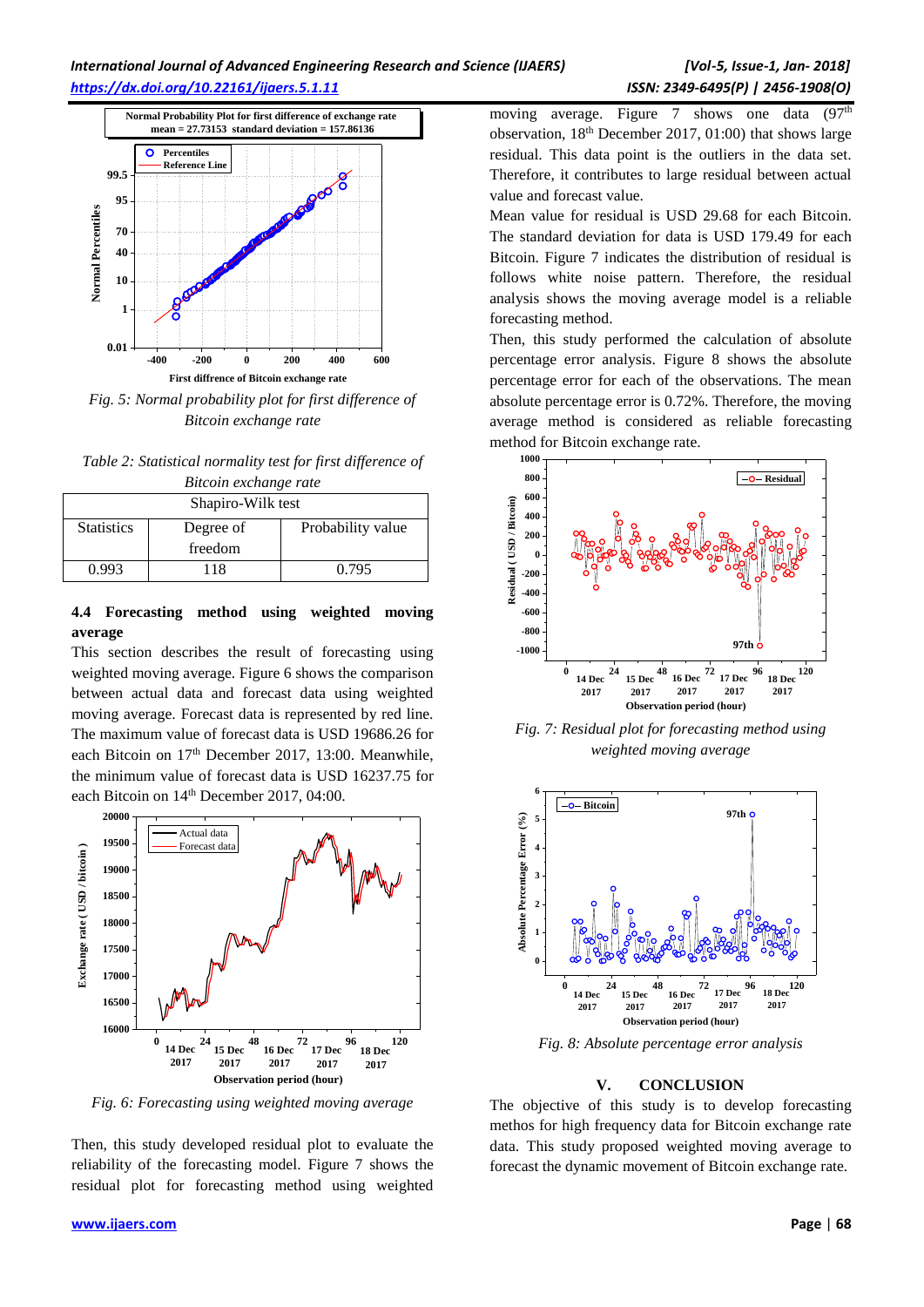

*Fig. 5: Normal probability plot for first difference of Bitcoin exchange rate* 

*Table 2: Statistical normality test for first difference of Bitcoin exchange rate*

| Shapiro-Wilk test |           |                   |  |
|-------------------|-----------|-------------------|--|
| <b>Statistics</b> | Degree of | Probability value |  |
|                   | freedom   |                   |  |
| 0.993             | 118       | 0.795             |  |

# **4.4 Forecasting method using weighted moving average**

This section describes the result of forecasting using weighted moving average. Figure 6 shows the comparison between actual data and forecast data using weighted moving average. Forecast data is represented by red line. The maximum value of forecast data is USD 19686.26 for each Bitcoin on 17<sup>th</sup> December 2017, 13:00. Meanwhile, the minimum value of forecast data is USD 16237.75 for each Bitcoin on 14<sup>th</sup> December 2017, 04:00.



*Fig. 6: Forecasting using weighted moving average* 

Then, this study developed residual plot to evaluate the reliability of the forecasting model. Figure 7 shows the residual plot for forecasting method using weighted moving average. Figure 7 shows one data  $(97<sup>th</sup>)$ observation, 18th December 2017, 01:00) that shows large residual. This data point is the outliers in the data set. Therefore, it contributes to large residual between actual value and forecast value.

Mean value for residual is USD 29.68 for each Bitcoin. The standard deviation for data is USD 179.49 for each Bitcoin. Figure 7 indicates the distribution of residual is follows white noise pattern. Therefore, the residual analysis shows the moving average model is a reliable forecasting method.

Then, this study performed the calculation of absolute percentage error analysis. Figure 8 shows the absolute percentage error for each of the observations. The mean absolute percentage error is 0.72%. Therefore, the moving average method is considered as reliable forecasting method for Bitcoin exchange rate.



*Fig. 7: Residual plot for forecasting method using weighted moving average* 



*Fig. 8: Absolute percentage error analysis*

### **V. CONCLUSION**

The objective of this study is to develop forecasting methos for high frequency data for Bitcoin exchange rate data. This study proposed weighted moving average to forecast the dynamic movement of Bitcoin exchange rate.